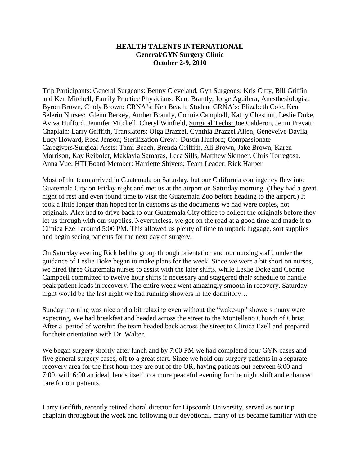## **HEALTH TALENTS INTERNATIONAL General/GYN Surgery Clinic October 2-9, 2010**

Trip Participants: General Surgeons: Benny Cleveland, Gyn Surgeons: Kris Citty, Bill Griffin and Ken Mitchell; Family Practice Physicians: Kent Brantly, Jorge Aguilera; Anesthesiologist: Byron Brown, Cindy Brown; CRNA's: Ken Beach; Student CRNA's: Elizabeth Cole, Ken Selerio Nurses: Glenn Berkey, Amber Brantly, Connie Campbell, Kathy Chestnut, Leslie Doke, Aviva Hufford, Jennifer Mitchell, Cheryl Winfield, Surgical Techs: Joe Calderon, Jenni Prevatt; Chaplain: Larry Griffith, Translators: Olga Brazzel, Cynthia Brazzel Allen, Geneveive Davila, Lucy Howard, Rosa Jenson; Sterilization Crew: Dustin Hufford; Compassionate Caregivers/Surgical Assts: Tami Beach, Brenda Griffith, Ali Brown, Jake Brown, Karen Morrison, Kay Reiboldt, Maklayla Samaras, Leea Sills, Matthew Skinner, Chris Torregosa, Anna Vue; HTI Board Member: Harriette Shivers; Team Leader: Rick Harper

Most of the team arrived in Guatemala on Saturday, but our California contingency flew into Guatemala City on Friday night and met us at the airport on Saturday morning. (They had a great night of rest and even found time to visit the Guatemala Zoo before heading to the airport.) It took a little longer than hoped for in customs as the documents we had were copies, not originals. Alex had to drive back to our Guatemala City office to collect the originals before they let us through with our supplies. Nevertheless, we got on the road at a good time and made it to Clinica Ezell around 5:00 PM. This allowed us plenty of time to unpack luggage, sort supplies and begin seeing patients for the next day of surgery.

On Saturday evening Rick led the group through orientation and our nursing staff, under the guidance of Leslie Doke began to make plans for the week. Since we were a bit short on nurses, we hired three Guatemala nurses to assist with the later shifts, while Leslie Doke and Connie Campbell committed to twelve hour shifts if necessary and staggered their schedule to handle peak patient loads in recovery. The entire week went amazingly smooth in recovery. Saturday night would be the last night we had running showers in the dormitory…

Sunday morning was nice and a bit relaxing even without the "wake-up" showers many were expecting. We had breakfast and headed across the street to the Montellano Church of Christ. After a period of worship the team headed back across the street to Clinica Ezell and prepared for their orientation with Dr. Walter.

We began surgery shortly after lunch and by 7:00 PM we had completed four GYN cases and five general surgery cases, off to a great start. Since we hold our surgery patients in a separate recovery area for the first hour they are out of the OR, having patients out between 6:00 and 7:00, with 6:00 an ideal, lends itself to a more peaceful evening for the night shift and enhanced care for our patients.

Larry Griffith, recently retired choral director for Lipscomb University, served as our trip chaplain throughout the week and following our devotional, many of us became familiar with the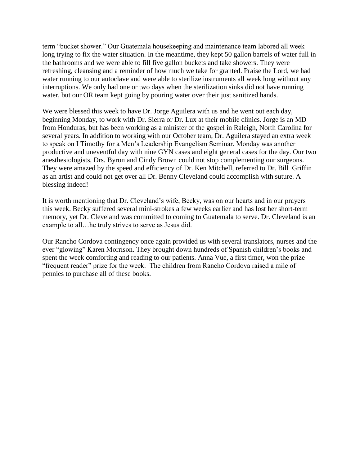term "bucket shower." Our Guatemala housekeeping and maintenance team labored all week long trying to fix the water situation. In the meantime, they kept 50 gallon barrels of water full in the bathrooms and we were able to fill five gallon buckets and take showers. They were refreshing, cleansing and a reminder of how much we take for granted. Praise the Lord, we had water running to our autoclave and were able to sterilize instruments all week long without any interruptions. We only had one or two days when the sterilization sinks did not have running water, but our OR team kept going by pouring water over their just sanitized hands.

We were blessed this week to have Dr. Jorge Aguilera with us and he went out each day, beginning Monday, to work with Dr. Sierra or Dr. Lux at their mobile clinics. Jorge is an MD from Honduras, but has been working as a minister of the gospel in Raleigh, North Carolina for several years. In addition to working with our October team, Dr. Aguilera stayed an extra week to speak on I Timothy for a Men's Leadership Evangelism Seminar. Monday was another productive and uneventful day with nine GYN cases and eight general cases for the day. Our two anesthesiologists, Drs. Byron and Cindy Brown could not stop complementing our surgeons. They were amazed by the speed and efficiency of Dr. Ken Mitchell, referred to Dr. Bill Griffin as an artist and could not get over all Dr. Benny Cleveland could accomplish with suture. A blessing indeed!

It is worth mentioning that Dr. Cleveland's wife, Becky, was on our hearts and in our prayers this week. Becky suffered several mini-strokes a few weeks earlier and has lost her short-term memory, yet Dr. Cleveland was committed to coming to Guatemala to serve. Dr. Cleveland is an example to all…he truly strives to serve as Jesus did.

Our Rancho Cordova contingency once again provided us with several translators, nurses and the ever "glowing" Karen Morrison. They brought down hundreds of Spanish children's books and spent the week comforting and reading to our patients. Anna Vue, a first timer, won the prize "frequent reader" prize for the week. The children from Rancho Cordova raised a mile of pennies to purchase all of these books.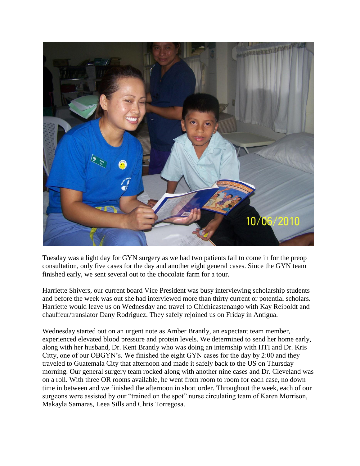

Tuesday was a light day for GYN surgery as we had two patients fail to come in for the preop consultation, only five cases for the day and another eight general cases. Since the GYN team finished early, we sent several out to the chocolate farm for a tour.

Harriette Shivers, our current board Vice President was busy interviewing scholarship students and before the week was out she had interviewed more than thirty current or potential scholars. Harriette would leave us on Wednesday and travel to Chichicastenango with Kay Reiboldt and chauffeur/translator Dany Rodriguez. They safely rejoined us on Friday in Antigua.

Wednesday started out on an urgent note as Amber Brantly, an expectant team member, experienced elevated blood pressure and protein levels. We determined to send her home early, along with her husband, Dr. Kent Brantly who was doing an internship with HTI and Dr. Kris Citty, one of our OBGYN's. We finished the eight GYN cases for the day by 2:00 and they traveled to Guatemala City that afternoon and made it safely back to the US on Thursday morning. Our general surgery team rocked along with another nine cases and Dr. Cleveland was on a roll. With three OR rooms available, he went from room to room for each case, no down time in between and we finished the afternoon in short order. Throughout the week, each of our surgeons were assisted by our "trained on the spot" nurse circulating team of Karen Morrison, Makayla Samaras, Leea Sills and Chris Torregosa.